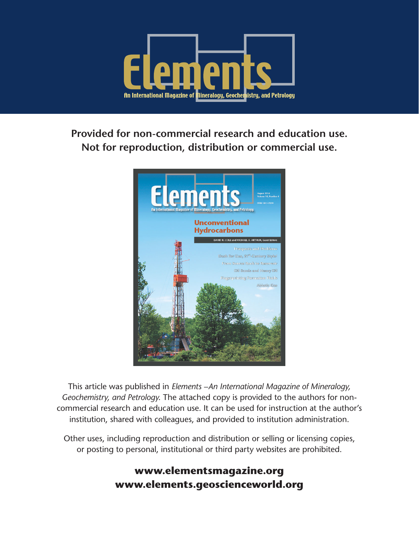

# **Provided for non-commercial research and education use. Not for reproduction, distribution or commercial use.**



This article was published in *Elements –An International Magazine of Mineralogy, Geochemistry, and Petrology*. The attached copy is provided to the authors for noncommercial research and education use. It can be used for instruction at the author's institution, shared with colleagues, and provided to institution administration.

Other uses, including reproduction and distribution or selling or licensing copies, or posting to personal, institutional or third party websites are prohibited.

# **www.elementsmagazine.org www.elements.geoscienceworld.org**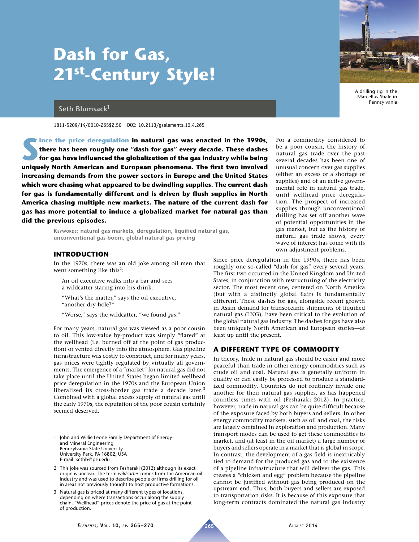# **Dash for Gas, 21st-Century Style!**



A drilling rig in the Marcellus Shale in Pennsylvania

# **Seth Blumsack1**

1811-5209/14/0010-265\$2.50 DOI: 10.2113/gselements.10.4.265

**Solution In the price deregulation in natural gas was enacted in the 1990s, there has been roughly one "dash for gas" every decade. These dashes for gas have influenced the globalization of the gas industry while being un ince the price deregulation in natural gas was enacted in the 1990s, there has been roughly one "dash for gas" every decade. These dashes**  for gas have influenced the globalization of the gas industry while being **increasing demands from the power sectors in Europe and the United States which were chasing what appeared to be dwindling supplies. The current dash**  for gas is fundamentally different and is driven by flush supplies in North **America chasing multiple new markets. The nature of the current dash for gas has more potential to induce a globalized market for natural gas than did the previous episodes.**

> KEYWORDS: natural gas markets, deregulation, liquified natural gas, **unconventional gas boom, global natural gas pricing**

## **INTRODUCTION**

In the 1970s, there was an old joke among oil men that went something like this<sup>2</sup>:

An oil executive walks into a bar and sees a wildcatter staring into his drink.

"What's the matter," says the oil executive, "another dry hole?"

"Worse," says the wildcatter, "we found *gas*."

For many years, natural gas was viewed as a poor cousin to oil. This low-value by-product was simply "flared" at the wellhead (i.e. burned off at the point of gas production) or vented directly into the atmosphere. Gas pipeline infrastructure was costly to construct, and for many years, gas prices were tightly regulated by virtually all governments. The emergence of a "market" for natural gas did not take place until the United States began limited wellhead price deregulation in the 1970s and the European Union liberalized its cross-border gas trade a decade later.<sup>3</sup> Combined with a global excess supply of natural gas until the early 1970s, the reputation of the poor cousin certainly seemed deserved.

1 John and Willie Leone Family Department of Energy and Mineral Engineering Pennsylvania State University University Park, PA 16802, USA E-mail: sethb@psu.edu

3 Natural gas is priced at many different types of locations, depending on where transactions occur along the supply chain. "Wellhead" prices denote the price of gas at the point of production.

For a commodity considered to be a poor cousin, the history of natural gas trade over the past several decades has been one of unusual concern over gas supplies (either an excess or a shortage of supplies) and of an active governmental role in natural gas trade, until wellhead price deregulation. The prospect of increased supplies through unconventional drilling has set off another wave of potential opportunities in the gas market, but as the history of natural gas trade shows, every wave of interest has come with its own adjustment problems.

Since price deregulation in the 1990s, there has been roughly one so-called "dash for gas" every several years. The first two occurred in the United Kingdom and United States, in conjunction with restructuring of the electricity sector. The most recent one, centered on North America (but with a distinctly global flair) is fundamentally different. These dashes for gas, alongside recent growth in Asian demand for transoceanic shipments of liquified natural gas (LNG), have been critical to the evolution of the global natural gas industry. The dashes for gas have also been uniquely North American and European stories—at least up until the present.

# **A DIFFERENT TYPE OF COMMODITY**

In theory, trade in natural gas should be easier and more peaceful than trade in other energy commodities such as crude oil and coal. Natural gas is generally uniform in quality or can easily be processed to produce a standardized commodity. Countries do not routinely invade one another for their natural gas supplies, as has happened countless times with oil (Fesharaki 2012). In practice, however, trade in natural gas can be quite difficult because of the exposure faced by both buyers and sellers. In other energy commodity markets, such as oil and coal, the risks are largely contained in exploration and production. Many transport modes can be used to get these commodities to market, and (at least in the oil market) a large number of buyers and sellers operate in a market that is global in scope. In contrast, the development of a gas field is inextricably tied to demand for the produced gas and to the existence of a pipeline infrastructure that will deliver the gas. This creates a "chicken and egg" problem because the pipeline cannot be justified without gas being produced on the upstream end. Thus, both buyers and sellers are exposed to transportation risks. It is because of this exposure that long-term contracts dominated the natural gas industry

<sup>2</sup> This joke was sourced from Fesharaki (2012) although its exact origin is unclear. The term *wildcatter* comes from the American oil industry and was used to describe people or firms drilling for oil in areas not previously thought to host productive formations.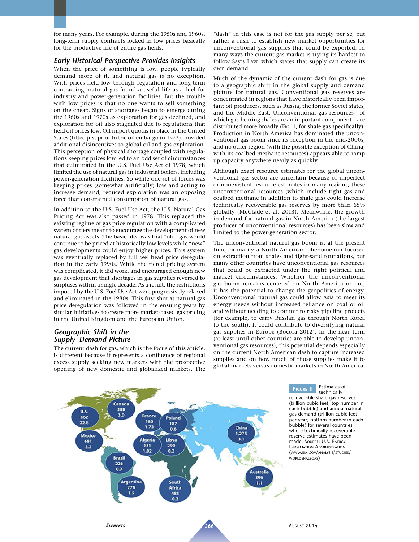for many years. For example, during the 1950s and 1960s, long-term supply contracts locked in low prices basically for the productive life of entire gas fields.

# *Early Historical Perspective Provides Insights*

When the price of something is low, people typically demand more of it, and natural gas is no exception. With prices held low through regulation and long-term contracting, natural gas found a useful life as a fuel for industry and power-generation facilities. But the trouble with low prices is that no one wants to sell something on the cheap. Signs of shortages began to emerge during the 1960s and 1970s as exploration for gas declined, and exploration for oil also stagnated due to regulations that held oil prices low. Oil import quotas in place in the United States (lifted just prior to the oil embargo in 1973) provided additional disincentives to global oil and gas exploration. This perception of physical shortage coupled with regulations keeping prices low led to an odd set of circumstances that culminated in the U.S. Fuel Use Act of 1978, which limited the use of natural gas in industrial boilers, including power-generation facilities. So while one set of forces was keeping prices (somewhat artificially) low and acting to increase demand, reduced exploration was an opposing force that constrained consumption of natural gas.

In addition to the U.S. Fuel Use Act, the U.S. Natural Gas Pricing Act was also passed in 1978. This replaced the existing regime of gas price regulation with a complicated system of tiers meant to encourage the development of new natural gas assets. The basic idea was that "old" gas would continue to be priced at historically low levels while "new" gas developments could enjoy higher prices. This system was eventually replaced by full wellhead price deregulation in the early 1990s. While the tiered pricing system was complicated, it did work, and encouraged enough new gas development that shortages in gas supplies reversed to surpluses within a single decade. As a result, the restrictions imposed by the U.S. Fuel Use Act were progressively relaxed and eliminated in the 1980s. This first shot at natural gas price deregulation was followed in the ensuing years by similar initiatives to create more market-based gas pricing in the United Kingdom and the European Union.

# *Geographic Shift in the Supply–Demand Picture*

The current dash for gas, which is the focus of this article, is different because it represents a confluence of regional excess supply seeking new markets with the prospective opening of new domestic and globalized markets. The

"dash" in this case is not for the gas supply per se, but rather a rush to establish new market opportunities for unconventional gas supplies that could be exported. In many ways the current gas market is trying its hardest to follow Say's Law, which states that supply can create its own demand.

Much of the dynamic of the current dash for gas is due to a geographic shift in the global supply and demand picture for natural gas. Conventional gas reserves are concentrated in regions that have historically been important oil producers, such as Russia, the former Soviet states, and the Middle East. Unconventional gas resources—of which gas-bearing shales are an important component—are distributed more broadly (FIG. 1, for shale gas specifically). Production in North America has dominated the unconventional gas boom since its inception in the mid-2000s, and no other region (with the possible exception of China, with its coalbed methane resources) appears able to ramp up capacity anywhere nearly as quickly.

Although exact resource estimates for the global unconventional gas sector are uncertain because of imperfect or nonexistent resource estimates in many regions, these unconventional resources (which include tight gas and coalbed methane in addition to shale gas) could increase technically recoverable gas reserves by more than 65% globally (McGlade et al. 2013). Meanwhile, the growth in demand for natural gas in North America (the largest producer of unconventional resources) has been slow and limited to the power-generation sector.

The unconventional natural gas boom is, at the present time, primarily a North American phenomenon focused on extraction from shales and tight-sand formations, but many other countries have unconventional gas resources that could be extracted under the right political and market circumstances. Whether the unconventional gas boom remains centered on North America or not, it has the potential to change the geopolitics of energy. Unconventional natural gas could allow Asia to meet its energy needs without increased reliance on coal or oil and without needing to commit to risky pipeline projects (for example, to carry Russian gas through North Korea to the south). It could contribute to diversifying natural gas supplies in Europe (Bocora 2012). In the near term (at least until other countries are able to develop unconventional gas resources), this potential depends especially on the current North American dash to capture increased supplies and on how much of those supplies make it to global markets versus domestic markets in North America.



*ELEMENTS* **266** AUGUST 2014

**FIGURE 1** Estimates of technically recoverable shale gas reserves (trillion cubic feet; top number in each bubble) and annual natural gas demand (trillion cubic feet per year; bottom number in each bubble) for several countries where technically recoverable reserve estimates have been made. SOURCE: U.S. ENERGY INFORMATION ADMINISTRATION (WWW.EIA.GOV/ANALYSIS/STUDIES/ WORLDSHALEGAS)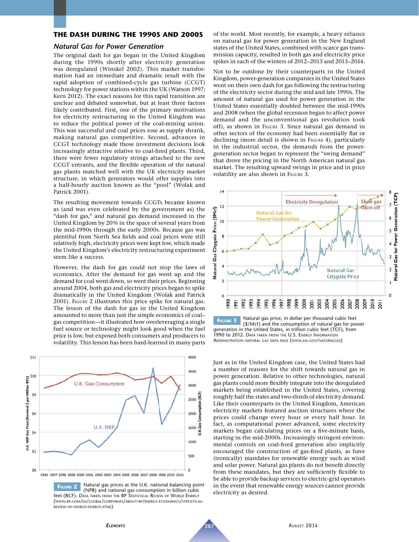#### **THE DASH DURING THE 1990S AND 2000S**

#### *Natural Gas for Power Generation*

The original dash for gas began in the United Kingdom during the 1990s shortly after electricity generation was deregulated (Winskel 2002). This market transformation had an immediate and dramatic result with the rapid adoption of combined-cycle gas turbine (CCGT) technology for power stations within the UK (Watson 1997; Kern 2012). The exact reasons for this rapid transition are unclear and debated somewhat, but at least three factors likely contributed. First, one of the primary motivations for electricity restructuring in the United Kingdom was to reduce the political power of the coal-mining union. This was successful and coal prices rose as supply shrank, making natural gas competitive. Second, advances in CCGT technology made those investment decisions look increasingly attractive relative to coal-fired plants. Third, there were fewer regulatory strings attached to the new CCGT entrants, and the flexible operation of the natural gas plants matched well with the UK electricity market structure, in which generators would offer supplies into a half-hourly auction known as the "pool" (Wolak and Patrick 2001).

The resulting movement towards CCGTs became known as (and was even celebrated by the government as) the "dash for gas," and natural gas demand increased in the United Kingdom by 20% in the space of several years from the mid-1990s through the early 2000s. Because gas was plentiful from North Sea fields and coal prices were still relatively high, electricity prices were kept low, which made the United Kingdom's electricity restructuring experiment seem like a success.

However, the dash for gas could not stop the laws of economics. After the demand for gas went up and the demand for coal went down, so went their prices. Beginning around 2004, both gas and electricity prices began to spike dramatically in the United Kingdom (Wolak and Patrick 2001). FIGURE 2 illustrates this price spike for natural gas. The lesson of the dash for gas in the United Kingdom amounted to more than just the simple economics of coal– gas competition—it illustrated how overleveraging a single fuel source or technology might look good when the fuel price is low, but exposed both consumers and producers to volatility. This lesson has been hard-learned in many parts



**FIGURE 2** Natural gas prices at the U.K. national balancing point (NPB) and national gas consumption in billion cubic feet (BCF). DATA TAKEN FROM THE BP STATISTICAL REVIEW OF WORLD ENERGY (WWW.BP.COM/EN/GLOBAL/CORPORATE/ABOUT-BP/ENERGY-ECONOMICS/STATISTICAL-REVIEW-OF-WORLD-ENERGY.HTML)

of the world. Most recently, for example, a heavy reliance on natural gas for power generation in the New England states of the United States, combined with scarce gas transmission capacity, resulted in both gas and electricity price spikes in each of the winters of 2012–2013 and 2013–2014.

Not to be outdone by their counterparts in the United Kingdom, power-generation companies in the United States went on their own dash for gas following the restructuring of the electricity sector during the mid and late 1990s. The amount of natural gas used for power generation in the United States essentially doubled between the mid-1990s and 2008 (when the global recession began to affect power demand and the unconventional gas revolution took off), as shown in FIGURE 3. Since natural gas demand in other sectors of the economy had been essentially flat or declining (more detail is shown in FIGURE 4), particularly in the industrial sector, the demands from the powergeneration sector began to represent the "swing demand" that drove the pricing in the North American natural gas market. The resulting upward swings in price and in price volatility are also shown in FIGURE 3.



**FIGURE 3** Natural gas price, in dollar per thousand cubic feet (\$/Mcf) and the consumption of natural gas for power generation in the United States, in trillion cubic feet (TCF), from 1990 to 2012. DATA TAKEN FROM THE U.S. ENERGY INFORMATION ADMINISTRATION NATURAL GAS DATA PAGE (WWW.EIA.GOV/NATURALGAS)

Just as in the United Kingdom case, the United States had a number of reasons for the shift towards natural gas in power generation. Relative to other technologies, natural gas plants could more flexibly integrate into the deregulated markets being established in the United States, covering roughly half the states and two-thirds of electricity demand. Like their counterparts in the United Kingdom, American electricity markets featured auction structures where the prices could change every hour or every half hour. In fact, as computational power advanced, some electricity markets began calculating prices on a five-minute basis, starting in the mid-2000s. Increasingly stringent environmental controls on coal-fired generation also implicitly encouraged the construction of gas-fired plants, as have (ironically) mandates for renewable energy such as wind and solar power. Natural gas plants do not benefit directly from these mandates, but they are sufficiently flexible to be able to provide backup services to electric-grid operators in the event that renewable energy sources cannot provide electricity as desired.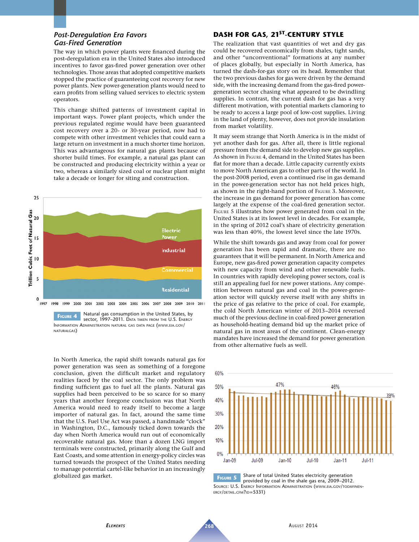# *Post-Deregulation Era Favors Gas-Fired Generation*

The way in which power plants were financed during the post-deregulation era in the United States also introduced incentives to favor gas-fired power generation over other technologies. Those areas that adopted competitive markets stopped the practice of guaranteeing cost recovery for new power plants. New power-generation plants would need to earn profits from selling valued services to electric system operators.

This change shifted patterns of investment capital in important ways. Power plant projects, which under the previous regulated regime would have been guaranteed cost recovery over a 20- or 30-year period, now had to compete with other investment vehicles that could earn a large return on investment in a much shorter time horizon. This was advantageous for natural gas plants because of shorter build times. For example, a natural gas plant can be constructed and producing electricity within a year or two, whereas a similarly sized coal or nuclear plant might take a decade or longer for siting and construction.



**FIGURE 4** Natural gas consumption in the United States, by sector, 1997–2011. DATA TAKEN FROM THE U.S. ENERGY INFORMATION ADMINISTRATION NATURAL GAS DATA PAGE (WWW.EIA.GOV/ NATURALGAS)

In North America, the rapid shift towards natural gas for power generation was seen as something of a foregone conclusion, given the difficult market and regulatory realities faced by the coal sector. The only problem was finding sufficient gas to fuel all the plants. Natural gas supplies had been perceived to be so scarce for so many years that another foregone conclusion was that North America would need to ready itself to become a large importer of natural gas. In fact, around the same time that the U.S. Fuel Use Act was passed, a handmade "clock" in Washington, D.C., famously ticked down towards the day when North America would run out of economically recoverable natural gas. More than a dozen LNG import terminals were constructed, primarily along the Gulf and East Coasts, and some attention in energy-policy circles was turned towards the prospect of the United States needing to manage potential cartel-like behavior in an increasingly globalized gas market.

# **DASH FOR GAS, 21<sup>ST</sup>-CENTURY STYLE**

The realization that vast quantities of wet and dry gas could be recovered economically from shales, tight sands, and other "unconventional" formations at any number of places globally, but especially in North America, has turned the dash-for-gas story on its head. Remember that the two previous dashes for gas were driven by the demand side, with the increasing demand from the gas-fired powergeneration sector chasing what appeared to be dwindling supplies. In contrast, the current dash for gas has a very different motivation, with potential markets clamoring to be ready to access a large pool of low-cost supplies. Living in the land of plenty, however, does not provide insulation from market volatility.

It may seem strange that North America is in the midst of yet another dash for gas. After all, there is little regional pressure from the demand side to develop new gas supplies. As shown in FIGURE 4, demand in the United States has been flat for more than a decade. Little capacity currently exists to move North American gas to other parts of the world. In the post-2008 period, even a continued rise in gas demand in the power-generation sector has not held prices high, as shown in the right-hand portion of FIGURE 3. Moreover, the increase in gas demand for power generation has come largely at the expense of the coal-fired generation sector. FIGURE 5 illustrates how power generated from coal in the United States is at its lowest level in decades. For example, in the spring of 2012 coal's share of electricity generation was less than 40%, the lowest level since the late 1970s.

While the shift towards gas and away from coal for power generation has been rapid and dramatic, there are no guarantees that it will be permanent. In North America and Europe, new gas-fi red power generation capacity competes with new capacity from wind and other renewable fuels. In countries with rapidly developing power sectors, coal is still an appealing fuel for new power stations. Any competition between natural gas and coal in the power-generation sector will quickly reverse itself with any shifts in the price of gas relative to the price of coal. For example, the cold North American winter of 2013–2014 reversed much of the previous decline in coal-fired power generation as household-heating demand bid up the market price of natural gas in most areas of the continent. Clean-energy mandates have increased the demand for power generation from other alternative fuels as well.



**FIGURE 5** Share of total United States electricity generation provided by coal in the shale gas era, 2009–2012. SOURCE: U.S. ENERGY INFORMATION ADMINISTRATION (WWW.EIA.GOV/TODAYINEN-ERGY/DETAIL.CFM?ID=5331)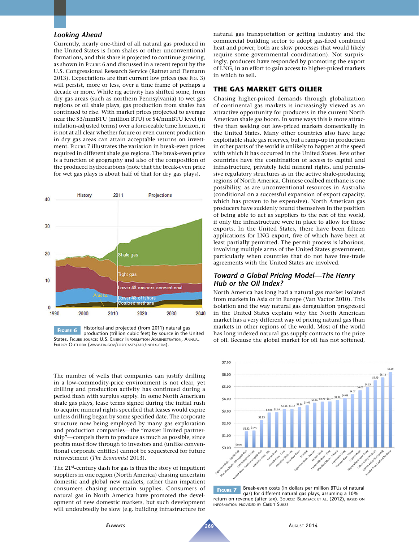#### *Looking Ahead*

Currently, nearly one-third of all natural gas produced in the United States is from shales or other unconventional formations, and this share is projected to continue growing, as shown in FIGURE 6 and discussed in a recent report by the U.S. Congressional Research Service (Ratner and Tiemann 2013). Expectations are that current low prices (see FIG. 3) will persist, more or less, over a time frame of perhaps a decade or more. While rig activity has shifted some, from dry gas areas (such as northern Pennsylvania) to wet gas regions or oil shale plays, gas production from shales has continued to rise. With market prices projected to average near the \$3/mmBTU (million BTU) or \$4/mmBTU level (in inflation-adjusted terms) over a foreseeable time horizon, it is not at all clear whether future or even current production in dry gas areas can attain acceptable returns on investment. FIGURE 7 illustrates the variation in break-even prices required in different shale gas regions. The break -even price is a function of geography and also of the composition of the produced hydrocarbons (note that the break-even price for wet gas plays is about half of that for dry gas plays).



**FIGURE 6** Historical and projected (from 2011) natural gas production (trillion cubic feet) by source in the United States. FIGURE SOURCE: U.S. ENERGY INFORMATION ADMINISTRATION, ANNUAL ENERGY OUTLOOK (WWW.EIA.GOV/FORECASTS/AEO/INDEX.CFM).

The number of wells that companies can justify drilling in a low-commodity-price environment is not clear, yet drilling and production activity has continued during a period flush with surplus supply. In some North American shale gas plays, lease terms signed during the initial rush to acquire mineral rights specified that leases would expire unless drilling began by some specified date. The corporate structure now being employed by many gas exploration and production companies—the "master limited partnership"—compels them to produce as much as possible, since profits must flow through to investors and (unlike conventional corporate entities) cannot be sequestered for future reinvestment (*The Economist* 2013).

The 21<sup>st</sup>-century dash for gas is thus the story of impatient suppliers in one region (North America) chasing uncertain domestic and global new markets, rather than impatient consumers chasing uncertain supplies. Consumers of natural gas in North America have promoted the development of new domestic markets, but such development will undoubtedly be slow (e.g. building infrastructure for

natural gas transportation or getting industry and the commercial building sector to adopt gas-fired combined heat and power; both are slow processes that would likely require some governmental coordination). Not surprisingly, producers have responded by promoting the export of LNG, in an effort to gain access to higher-priced markets in which to sell.

# **THE GAS MARKET GETS OILIER**

Chasing higher-priced demands through globalization of continental gas markets is increasingly viewed as an attractive opportunity for producers in the current North American shale gas boom. In some ways this is more attractive than seeking out low-priced markets domestically in the United States. Many other countries also have large exploitable shale gas reserves, but a ramp-up in production in other parts of the world is unlikely to happen at the speed with which it has occurred in the United States. Few other countries have the combination of access to capital and infrastructure, privately held mineral rights, and permissive regulatory structures as in the active shale-producing regions of North America. Chinese coalbed methane is one possibility, as are unconventional resources in Australia (conditional on a successful expansion of export capacity, which has proven to be expensive). North American gas producers have suddenly found themselves in the position of being able to act as suppliers to the rest of the world, if only the infrastructure were in place to allow for those exports. In the United States, there have been fifteen applications for LNG export, five of which have been at least partially permitted. The permit process is laborious, involving multiple arms of the United States government, particularly when countries that do not have free-trade agreements with the United States are involved.

## *Toward a Global Pricing Model—The Henry Hub or the Oil Index?*

North America has long had a natural gas market isolated from markets in Asia or in Europe (Van Vactor 2010). This isolation and the way natural gas deregulation progressed in the United States explain why the North American market has a very different way of pricing natural gas than markets in other regions of the world. Most of the world has long indexed natural gas supply contracts to the price of oil. Because the global market for oil has not softened,